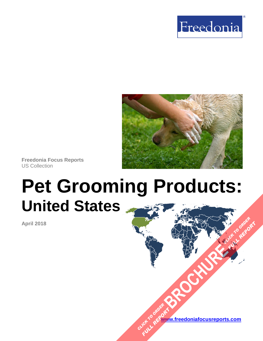



**Freedonia Focus Reports** US Collection

# **Pet Grooming Products: United States**

**April 2018**

**[www.freedoniafocusreports.com](https://www.freedoniafocusreports.com/redirect.asp?progid=89534&url=/)** CLICK TO ORDER **FULL REPORT** 

**[BROCHURE](https://www.freedoniafocusreports.com/Pet-Grooming-Products-United-States-FF95069/?progid=89541) CLICK TO ORDER** 

**FULL REPORT**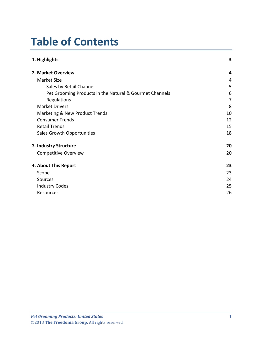## **Table of Contents**

| 1. Highlights                                           | 3              |
|---------------------------------------------------------|----------------|
| 2. Market Overview                                      | 4              |
| Market Size                                             | 4              |
| Sales by Retail Channel                                 | 5              |
| Pet Grooming Products in the Natural & Gourmet Channels | 6              |
| Regulations                                             | $\overline{7}$ |
| <b>Market Drivers</b>                                   | 8              |
| <b>Marketing &amp; New Product Trends</b>               | 10             |
| <b>Consumer Trends</b>                                  | 12             |
| <b>Retail Trends</b>                                    | 15             |
| Sales Growth Opportunities                              | 18             |
| 3. Industry Structure                                   | 20             |
| <b>Competitive Overview</b>                             | 20             |
| 4. About This Report                                    | 23             |
| Scope                                                   | 23             |
| Sources                                                 | 24             |
| <b>Industry Codes</b>                                   | 25             |
| Resources                                               | 26             |
|                                                         |                |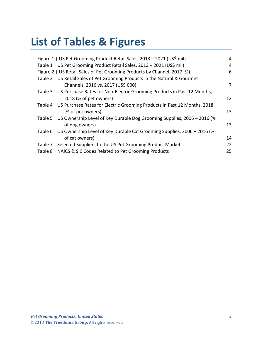## **List of Tables & Figures**

| Figure 1   US Pet Grooming Product Retail Sales, 2013 - 2021 (US\$ mil)            | 4  |
|------------------------------------------------------------------------------------|----|
| Table 1   US Pet Grooming Product Retail Sales, 2013 - 2021 (US\$ mil)             | 4  |
| Figure 2   US Retail Sales of Pet Grooming Products by Channel, 2017 (%)           | 6  |
| Table 2   US Retail Sales of Pet Grooming Products in the Natural & Gourmet        |    |
| Channels, 2016 vs. 2017 (US\$ 000)                                                 | 7  |
| Table 3   US Purchase Rates for Non-Electric Grooming Products in Past 12 Months,  |    |
| 2018 (% of pet owners)                                                             | 12 |
| Table 4   US Purchase Rates for Electric Grooming Products in Past 12 Months, 2018 |    |
| (% of pet owners)                                                                  | 13 |
| Table 5   US Ownership Level of Key Durable Dog Grooming Supplies, 2006 - 2016 (%  |    |
| of dog owners)                                                                     | 13 |
| Table 6   US Ownership Level of Key Durable Cat Grooming Supplies, 2006 - 2016 (%  |    |
| of cat owners)                                                                     | 14 |
| Table 7   Selected Suppliers to the US Pet Grooming Product Market                 | 22 |
| Table 8   NAICS & SIC Codes Related to Pet Grooming Products                       | 25 |
|                                                                                    |    |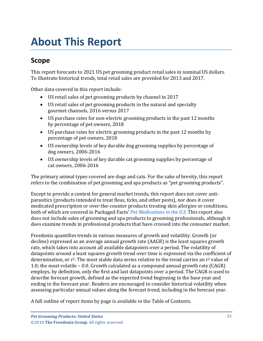## <span id="page-3-0"></span>**About This Report**

## <span id="page-3-1"></span>**Scope**

This report forecasts to 2021 US pet grooming product retail sales in nominal US dollars. To illustrate historical trends, total retail sales are provided for 2013 and 2017.

Other data covered in this report include:

- US retail sales of pet grooming products by channel in 2017
- US retail sales of pet grooming products in the natural and specialty gourmet channels, 2016 versus 2017
- US purchase rates for non-electric grooming products in the past 12 months by percentage of pet owners, 2018
- US purchase rates for electric grooming products in the past 12 months by percentage of pet owners, 2018
- US ownership levels of key durable dog grooming supplies by percentage of dog owners, 2006-2016
- US ownership levels of key durable cat grooming supplies by percentage of cat owners, 2006-2016

The primary animal types covered are dogs and cats. For the sake of brevity, this report refers to the combination of pet grooming and spa products as "pet grooming products".

Except to provide a context for general market trends, this report does not cover antiparasitics (products intended to treat fleas, ticks, and other pests), nor does it cover medicated prescription or over-the-counter products treating skin allergies or conditions, both of which are covered in Packaged Facts' *[Pet Medications in the U.S.](https://www.packagedfacts.com/Pet-Medications-Edition-11058305/?progid=89534)* This report also does not include sales of grooming and spa products to grooming professionals, although it does examine trends in professional products that have crossed into the consumer market.

Freedonia quantifies trends in various measures of growth and volatility. Growth (or decline) expressed as an average annual growth rate (AAGR) is the least squares growth rate, which takes into account all available datapoints over a period. The volatility of datapoints around a least squares growth trend over time is expressed via the coefficient of determination, or  $r^2$ . The most stable data series relative to the trend carries an  $r^2$  value of 1.0; the most volatile – 0.0. Growth calculated as a compound annual growth rate (CAGR) employs, by definition, only the first and last datapoints over a period. The CAGR is used to describe forecast growth, defined as the expected trend beginning in the base year and ending in the forecast year. Readers are encouraged to consider historical volatility when assessing particular annual values along the forecast trend, including in the forecast year.

A full outline of report items by page is available in the Table of Contents.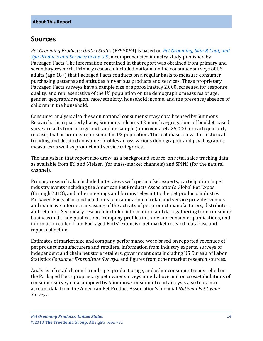## <span id="page-4-0"></span>**Sources**

*Pet Grooming Products: United States* (FF95069) is based on *[Pet Grooming, Skin & Coat, and](https://www.packagedfacts.com/Pet-Grooming-Skin-Coat-Spa-Products-Services-Edition-11270781/?progid=89534)  [Spa Products and Services in the U.S.,](https://www.packagedfacts.com/Pet-Grooming-Skin-Coat-Spa-Products-Services-Edition-11270781/?progid=89534)* a comprehensive industry study published by Packaged Facts. The information contained in that report was obtained from primary and secondary research. Primary research included national online consumer surveys of US adults (age 18+) that Packaged Facts conducts on a regular basis to measure consumer purchasing patterns and attitudes for various products and services. These proprietary Packaged Facts surveys have a sample size of approximately 2,000, screened for response quality, and representative of the US population on the demographic measures of age, gender, geographic region, race/ethnicity, household income, and the presence/absence of children in the household.

Consumer analysis also drew on national consumer survey data licensed by Simmons Research. On a quarterly basis, Simmons releases 12-month aggregations of booklet-based survey results from a large and random sample (approximately 25,000 for each quarterly release) that accurately represents the US population. This database allows for historical trending and detailed consumer profiles across various demographic and psychographic measures as well as product and service categories.

The analysis in that report also drew, as a background source, on retail sales tracking data as available from IRI and Nielsen (for mass-market channels) and SPINS (for the natural channel).

Primary research also included interviews with pet market experts; participation in pet industry events including the American Pet Products Association's Global Pet Expos (through 2018), and other meetings and forums relevant to the pet products industry. Packaged Facts also conducted on-site examination of retail and service provider venues and extensive internet canvassing of the activity of pet product manufacturers, distributers, and retailers. Secondary research included information- and data-gathering from consumer business and trade publications, company profiles in trade and consumer publications, and information culled from Packaged Facts' extensive pet market research database and report collection.

Estimates of market size and company performance were based on reported revenues of pet product manufacturers and retailers, information from industry experts, surveys of independent and chain pet store retailers, government data including US Bureau of Labor Statistics *Consumer Expenditure Surveys*, and figures from other market research sources.

Analysis of retail channel trends, pet product usage, and other consumer trends relied on the Packaged Facts proprietary pet owner surveys noted above and on cross-tabulations of consumer survey data compiled by Simmons. Consumer trend analysis also took into account data from the American Pet Product Association's biennial *National Pet Owner Surveys*.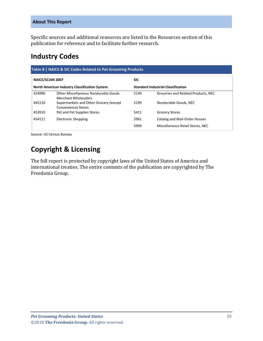#### **About This Report**

Specific sources and additional resources are listed in the Resources section of this publication for reference and to facilitate further research.

## <span id="page-5-0"></span>**Industry Codes**

<span id="page-5-1"></span>

| NAICS/SCIAN 2007<br><b>North American Industry Classification System</b> |                                                                     | <b>SIC</b>                                |                                     |
|--------------------------------------------------------------------------|---------------------------------------------------------------------|-------------------------------------------|-------------------------------------|
|                                                                          |                                                                     | <b>Standard Industrial Classification</b> |                                     |
| 424990                                                                   | Other Miscellaneous Nondurable Goods<br><b>Merchant Wholesalers</b> | 5149                                      | Groceries and Related Products, NEC |
| 445110                                                                   | Supermarkets and Other Grocery (except<br>Convenience) Stores       | 5199                                      | Nondurable Goods, NEC               |
| 453910                                                                   | Pet and Pet Supplies Stores                                         | 5411                                      | <b>Grocery Stores</b>               |
| 454111                                                                   | <b>Electronic Shopping</b>                                          | 5961                                      | Catalog and Mail-Order Houses       |
|                                                                          |                                                                     | 5999                                      | Miscellaneous Retail Stores, NEC    |

Source: US Census Bureau

## **Copyright & Licensing**

The full report is protected by copyright laws of the United States of America and international treaties. The entire contents of the publication are copyrighted by The Freedonia Group.